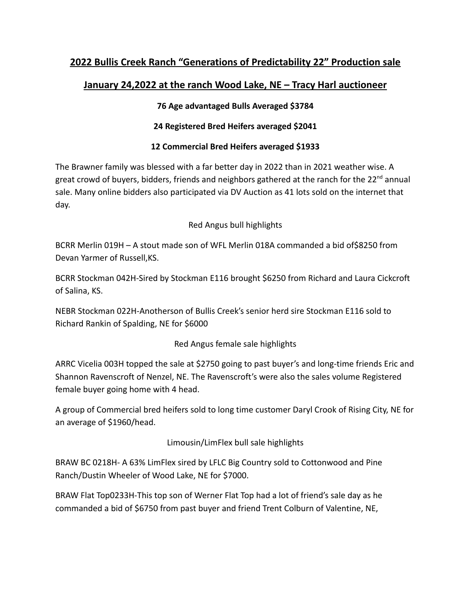# **2022 Bullis Creek Ranch "Generations of Predictability 22" Production sale**

## **January 24,2022 at the ranch Wood Lake, NE – Tracy Harl auctioneer**

### **76 Age advantaged Bulls Averaged \$3784**

#### **24 Registered Bred Heifers averaged \$2041**

### **12 Commercial Bred Heifers averaged \$1933**

The Brawner family was blessed with a far better day in 2022 than in 2021 weather wise. A great crowd of buyers, bidders, friends and neighbors gathered at the ranch for the  $22^{nd}$  annual sale. Many online bidders also participated via DV Auction as 41 lots sold on the internet that day.

### Red Angus bull highlights

BCRR Merlin 019H – A stout made son of WFL Merlin 018A commanded a bid of\$8250 from Devan Yarmer of Russell,KS.

BCRR Stockman 042H-Sired by Stockman E116 brought \$6250 from Richard and Laura Cickcroft of Salina, KS.

NEBR Stockman 022H-Anotherson of Bullis Creek's senior herd sire Stockman E116 sold to Richard Rankin of Spalding, NE for \$6000

#### Red Angus female sale highlights

ARRC Vicelia 003H topped the sale at \$2750 going to past buyer's and long-time friends Eric and Shannon Ravenscroft of Nenzel, NE. The Ravenscroft's were also the sales volume Registered female buyer going home with 4 head.

A group of Commercial bred heifers sold to long time customer Daryl Crook of Rising City, NE for an average of \$1960/head.

#### Limousin/LimFlex bull sale highlights

BRAW BC 0218H- A 63% LimFlex sired by LFLC Big Country sold to Cottonwood and Pine Ranch/Dustin Wheeler of Wood Lake, NE for \$7000.

BRAW Flat Top0233H-This top son of Werner Flat Top had a lot of friend's sale day as he commanded a bid of \$6750 from past buyer and friend Trent Colburn of Valentine, NE,